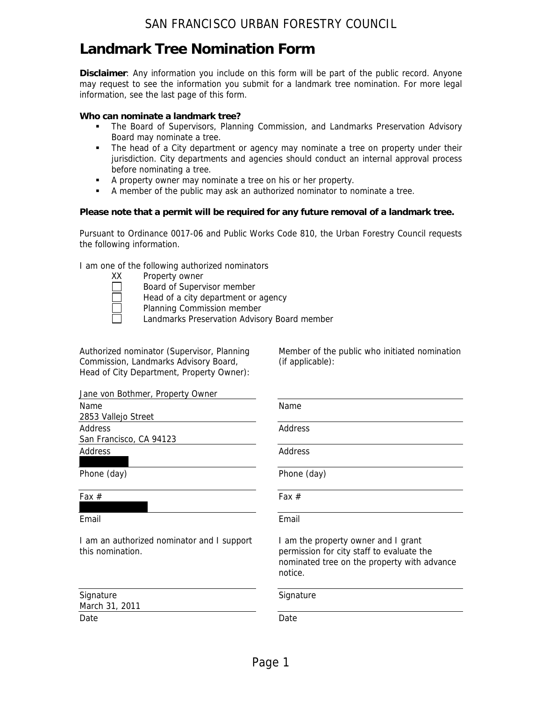# **Landmark Tree Nomination Form**

**Disclaimer**: Any information you include on this form will be part of the public record. Anyone may request to see the information you submit for a landmark tree nomination. For more legal information, see the last page of this form.

## **Who can nominate a landmark tree?**

- The Board of Supervisors, Planning Commission, and Landmarks Preservation Advisory Board may nominate a tree.
- The head of a City department or agency may nominate a tree on property under their jurisdiction. City departments and agencies should conduct an internal approval process before nominating a tree.
- A property owner may nominate a tree on his or her property.
- A member of the public may ask an authorized nominator to nominate a tree.

### **Please note that a permit will be required for any future removal of a landmark tree.**

Pursuant to Ordinance 0017-06 and Public Works Code 810, the Urban Forestry Council requests the following information.

I am one of the following authorized nominators

- XX Property owner
	- Board of Supervisor member
	- Head of a city department or agency
	- Planning Commission member
	- Landmarks Preservation Advisory Board member

Authorized nominator (Supervisor, Planning Commission, Landmarks Advisory Board, Head of City Department, Property Owner): Member of the public who initiated nomination (if applicable):

| Jane von Bothmer, Property Owner                               |                                                                                                                                            |
|----------------------------------------------------------------|--------------------------------------------------------------------------------------------------------------------------------------------|
| Name<br>2853 Vallejo Street                                    | Name                                                                                                                                       |
| Address<br>San Francisco, CA 94123                             | Address                                                                                                                                    |
| Address                                                        | Address                                                                                                                                    |
| Phone (day)                                                    | Phone (day)                                                                                                                                |
| Fax $#$                                                        | Fax $#$                                                                                                                                    |
| Email                                                          | Email                                                                                                                                      |
| I am an authorized nominator and I support<br>this nomination. | I am the property owner and I grant<br>permission for city staff to evaluate the<br>nominated tree on the property with advance<br>notice. |
| Signature<br>March 31, 2011                                    | Signature                                                                                                                                  |
| Date                                                           | Date                                                                                                                                       |
|                                                                |                                                                                                                                            |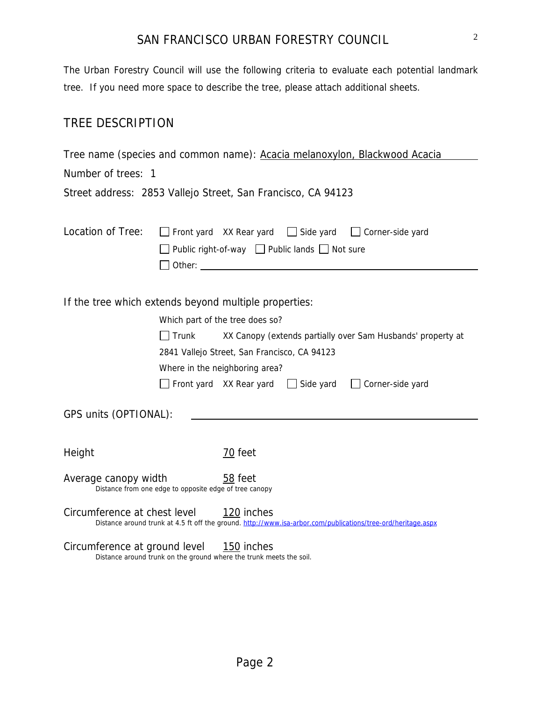The Urban Forestry Council will use the following criteria to evaluate each potential landmark tree. If you need more space to describe the tree, please attach additional sheets.

## TREE DESCRIPTION

Tree name (species and common name): Acacia melanoxylon, Blackwood Acacia Number of trees: 1

Street address: 2853 Vallejo Street, San Francisco, CA 94123

| Location of Tree:                                                              |                                              | Public right-of-way $\Box$ Public lands $\Box$ Not sure<br>Other: when the contract of the contract of the contract of the contract of the contract of the contract of the contract of the contract of the contract of the contract of the contract of the contract of the contract of th |  | Front yard XX Rear yard Side yard Corner-side yard                      |
|--------------------------------------------------------------------------------|----------------------------------------------|-------------------------------------------------------------------------------------------------------------------------------------------------------------------------------------------------------------------------------------------------------------------------------------------|--|-------------------------------------------------------------------------|
|                                                                                |                                              |                                                                                                                                                                                                                                                                                           |  |                                                                         |
| If the tree which extends beyond multiple properties:                          |                                              |                                                                                                                                                                                                                                                                                           |  |                                                                         |
|                                                                                | Which part of the tree does so?              |                                                                                                                                                                                                                                                                                           |  |                                                                         |
|                                                                                | $\Box$ Trunk                                 |                                                                                                                                                                                                                                                                                           |  | XX Canopy (extends partially over Sam Husbands' property at             |
|                                                                                | 2841 Vallejo Street, San Francisco, CA 94123 |                                                                                                                                                                                                                                                                                           |  |                                                                         |
|                                                                                | Where in the neighboring area?               |                                                                                                                                                                                                                                                                                           |  |                                                                         |
|                                                                                |                                              |                                                                                                                                                                                                                                                                                           |  | $\Box$ Front yard XX Rear yard $\Box$ Side yard $\Box$ Corner-side yard |
| GPS units (OPTIONAL):                                                          |                                              |                                                                                                                                                                                                                                                                                           |  |                                                                         |
|                                                                                |                                              |                                                                                                                                                                                                                                                                                           |  |                                                                         |
| Height                                                                         |                                              | 70 feet                                                                                                                                                                                                                                                                                   |  |                                                                         |
| Average canopy width<br>Distance from one edge to opposite edge of tree canopy |                                              | 58 feet                                                                                                                                                                                                                                                                                   |  |                                                                         |
| Circumference at chest level 120 inches                                        |                                              | Distance around trunk at 4.5 ft off the ground. http://www.isa-arbor.com/publications/tree-ord/heritage.aspx                                                                                                                                                                              |  |                                                                         |
| Circumference at ground level                                                  |                                              | 150 inches                                                                                                                                                                                                                                                                                |  |                                                                         |

Distance around trunk on the ground where the trunk meets the soil.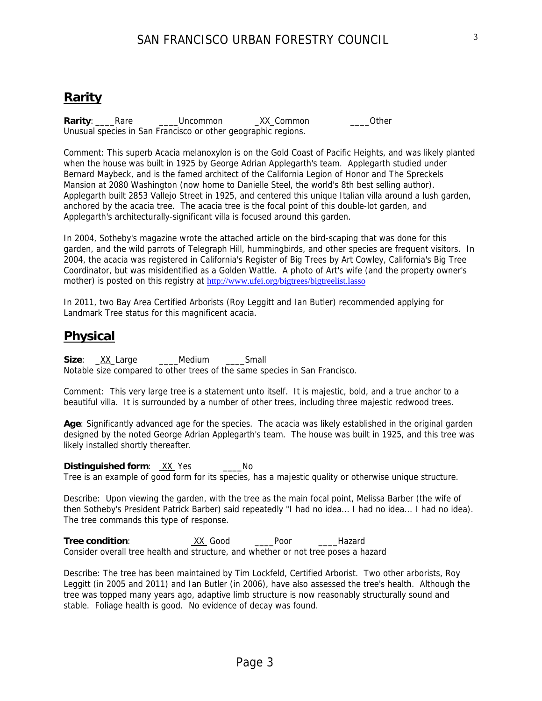## **Rarity**

**Rarity**: Rare Loncommon XX\_Common 20ther Unusual species in San Francisco or other geographic regions.

Comment: This superb Acacia melanoxylon is on the Gold Coast of Pacific Heights, and was likely planted when the house was built in 1925 by George Adrian Applegarth's team. Applegarth studied under Bernard Maybeck, and is the famed architect of the California Legion of Honor and The Spreckels Mansion at 2080 Washington (now home to Danielle Steel, the world's 8th best selling author). Applegarth built 2853 Vallejo Street in 1925, and centered this unique Italian villa around a lush garden, anchored by the acacia tree. The acacia tree is the focal point of this double-lot garden, and Applegarth's architecturally-significant villa is focused around this garden.

In 2004, Sotheby's magazine wrote the attached article on the bird-scaping that was done for this garden, and the wild parrots of Telegraph Hill, hummingbirds, and other species are frequent visitors. In 2004, the acacia was registered in California's Register of Big Trees by Art Cowley, California's Big Tree Coordinator, but was misidentified as a Golden Wattle. A photo of Art's wife (and the property owner's mother) is posted on this registry at http://www.ufei.org/bigtrees/bigtreelist.lasso

In 2011, two Bay Area Certified Arborists (Roy Leggitt and Ian Butler) recommended applying for Landmark Tree status for this magnificent acacia.

## **Physical**

**Size**: XX Large **Medium** Small Notable size compared to other trees of the same species in San Francisco.

Comment: This very large tree is a statement unto itself. It is majestic, bold, and a true anchor to a beautiful villa. It is surrounded by a number of other trees, including three majestic redwood trees.

**Age**: Significantly advanced age for the species. The acacia was likely established in the original garden designed by the noted George Adrian Applegarth's team. The house was built in 1925, and this tree was likely installed shortly thereafter.

**Distinguished form:** XX Yes \_\_\_\_No

Tree is an example of good form for its species, has a majestic quality or otherwise unique structure.

Describe: Upon viewing the garden, with the tree as the main focal point, Melissa Barber (the wife of then Sotheby's President Patrick Barber) said repeatedly "I had no idea... I had no idea... I had no idea). The tree commands this type of response.

Tree condition: XX Good \_\_\_Poor \_\_\_\_Hazard Consider overall tree health and structure, and whether or not tree poses a hazard

Describe: The tree has been maintained by Tim Lockfeld, Certified Arborist. Two other arborists, Roy Leggitt (in 2005 and 2011) and Ian Butler (in 2006), have also assessed the tree's health. Although the tree was topped many years ago, adaptive limb structure is now reasonably structurally sound and stable. Foliage health is good. No evidence of decay was found.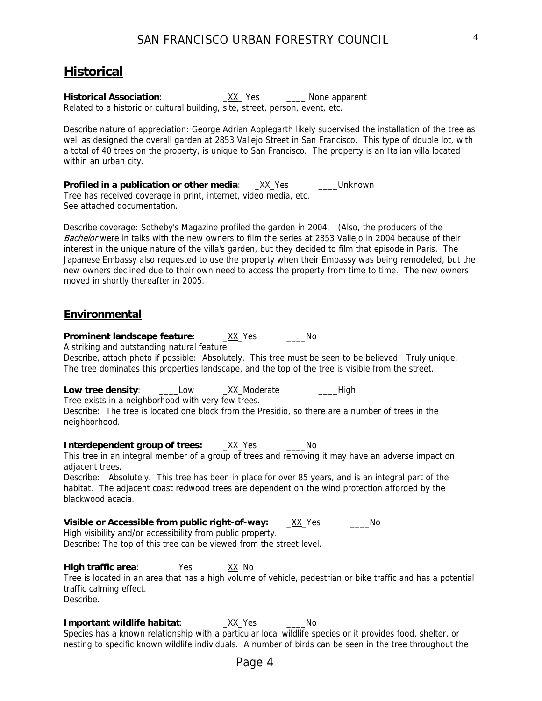# **Historical**

Historical Association: <u>XX</u>\_Yes \_\_\_\_ None apparent Related to a historic or cultural building, site, street, person, event, etc.

Describe nature of appreciation: George Adrian Applegarth likely supervised the installation of the tree as well as designed the overall garden at 2853 Vallejo Street in San Francisco. This type of double lot, with a total of 40 trees on the property, is unique to San Francisco. The property is an Italian villa located within an urban city.

**Profiled in a publication or other media:** \_XX\_Yes \_\_\_\_Unknown Tree has received coverage in print, internet, video media, etc. See attached documentation.

Describe coverage: Sotheby's Magazine profiled the garden in 2004. (Also, the producers of the Bachelor were in talks with the new owners to film the series at 2853 Vallejo in 2004 because of their interest in the unique nature of the villa's garden, but they decided to film that episode in Paris. The Japanese Embassy also requested to use the property when their Embassy was being remodeled, but the new owners declined due to their own need to access the property from time to time. The new owners moved in shortly thereafter in 2005.

## **Environmental**

**Prominent landscape feature**: \_XX\_Yes \_\_\_\_No A striking and outstanding natural feature.

Describe, attach photo if possible: Absolutely. This tree must be seen to be believed. Truly unique. The tree dominates this properties landscape, and the top of the tree is visible from the street.

**Low tree density**: \_\_\_\_Low \_XX\_Moderate \_\_\_\_High

Tree exists in a neighborhood with very few trees.

Describe: The tree is located one block from the Presidio, so there are a number of trees in the neighborhood.

**Interdependent group of trees:** \_\_XX\_Yes \_\_\_\_\_No

This tree in an integral member of a group of trees and removing it may have an adverse impact on adjacent trees.

Describe: Absolutely. This tree has been in place for over 85 years, and is an integral part of the habitat. The adjacent coast redwood trees are dependent on the wind protection afforded by the blackwood acacia.

**Visible or Accessible from public right-of-way:** \_\_\_XX\_Yes \_\_\_\_\_\_\_No High visibility and/or accessibility from public property. Describe: The top of this tree can be viewed from the street level.

**High traffic area:** \_\_\_\_Yes \_\_\_\_XX\_No Tree is located in an area that has a high volume of vehicle, pedestrian or bike traffic and has a potential traffic calming effect. Describe.

**Important wildlife habitat**: \_XX\_Yes \_\_\_\_No Species has a known relationship with a particular local wildlife species or it provides food, shelter, or nesting to specific known wildlife individuals. A number of birds can be seen in the tree throughout the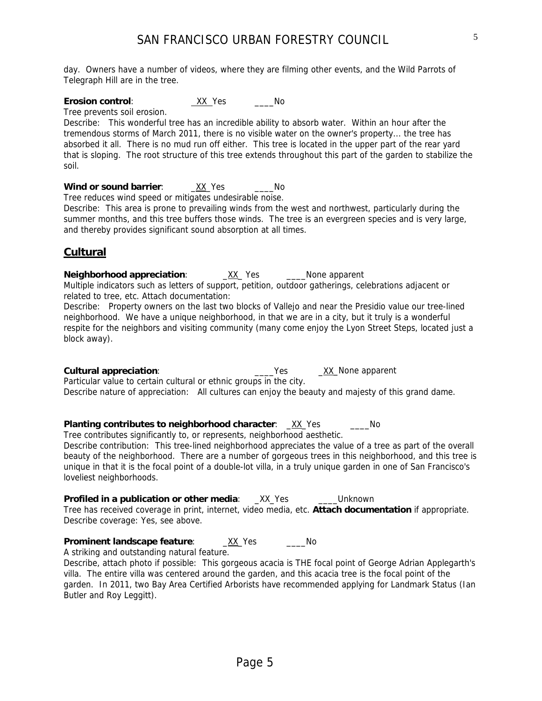day. Owners have a number of videos, where they are filming other events, and the Wild Parrots of Telegraph Hill are in the tree.

**Erosion control:** XX Yes No

Tree prevents soil erosion.

Describe: This wonderful tree has an incredible ability to absorb water. Within an hour after the tremendous storms of March 2011, there is no visible water on the owner's property... the tree has absorbed it all. There is no mud run off either. This tree is located in the upper part of the rear yard that is sloping. The root structure of this tree extends throughout this part of the garden to stabilize the soil.

## **Wind or sound barrier:**  $\quad$  XX Yes \_\_\_\_\_\_\_\_No

Tree reduces wind speed or mitigates undesirable noise.

Describe: This area is prone to prevailing winds from the west and northwest, particularly during the summer months, and this tree buffers those winds. The tree is an evergreen species and is very large, and thereby provides significant sound absorption at all times.

## **Cultural**

**Neighborhood appreciation:**  $\forall$ XX Yes Mone apparent Multiple indicators such as letters of support, petition, outdoor gatherings, celebrations adjacent or related to tree, etc. Attach documentation:

Describe: Property owners on the last two blocks of Vallejo and near the Presidio value our tree-lined neighborhood. We have a unique neighborhood, in that we are in a city, but it truly is a wonderful respite for the neighbors and visiting community (many come enjoy the Lyon Street Steps, located just a block away).

**Cultural appreciation:**  $\qquad \qquad \qquad \qquad \qquad \text{Yes} \qquad \qquad \text{XX}$  None apparent Particular value to certain cultural or ethnic groups in the city. Describe nature of appreciation: All cultures can enjoy the beauty and majesty of this grand dame.

**Planting contributes to neighborhood character:** \_XX\_Yes \_\_\_\_\_\_\_No

Tree contributes significantly to, or represents, neighborhood aesthetic. Describe contribution: This tree-lined neighborhood appreciates the value of a tree as part of the overall beauty of the neighborhood. There are a number of gorgeous trees in this neighborhood, and this tree is unique in that it is the focal point of a double-lot villa, in a truly unique garden in one of San Francisco's loveliest neighborhoods.

**Profiled in a publication or other media:** XX Yes **Winknown** Tree has received coverage in print, internet, video media, etc. **Attach documentation** if appropriate. Describe coverage: Yes, see above.

## **Prominent landscape feature**: \_XX\_Yes \_\_\_\_No

A striking and outstanding natural feature.

Describe, attach photo if possible: This gorgeous acacia is THE focal point of George Adrian Applegarth's villa. The entire villa was centered around the garden, and this acacia tree is the focal point of the garden. In 2011, two Bay Area Certified Arborists have recommended applying for Landmark Status (Ian Butler and Roy Leggitt).